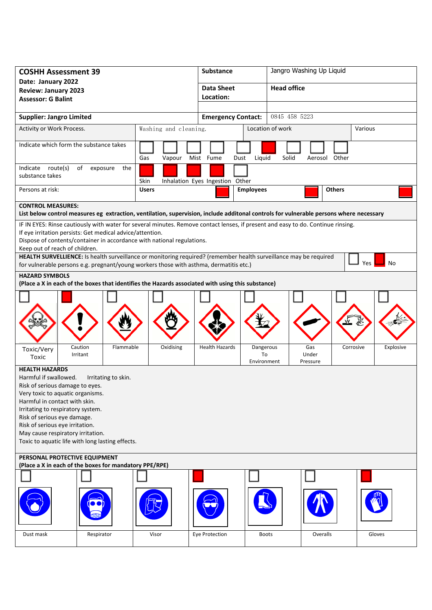| <b>COSHH Assessment 39</b>                                                                                                                                                                                                                                                                                                                                                                                                                                               |               | <b>Substance</b>                           |                                |                          | Jangro Washing Up Liquid |           |  |
|--------------------------------------------------------------------------------------------------------------------------------------------------------------------------------------------------------------------------------------------------------------------------------------------------------------------------------------------------------------------------------------------------------------------------------------------------------------------------|---------------|--------------------------------------------|--------------------------------|--------------------------|--------------------------|-----------|--|
| Date: January 2022<br><b>Review: January 2023</b>                                                                                                                                                                                                                                                                                                                                                                                                                        |               | <b>Data Sheet</b>                          |                                |                          | <b>Head office</b>       |           |  |
| <b>Assessor: G Balint</b>                                                                                                                                                                                                                                                                                                                                                                                                                                                |               | Location:                                  |                                |                          |                          |           |  |
| <b>Supplier: Jangro Limited</b>                                                                                                                                                                                                                                                                                                                                                                                                                                          |               | 0845 458 5223<br><b>Emergency Contact:</b> |                                |                          |                          |           |  |
| Activity or Work Process.<br>Washing and cleaning.                                                                                                                                                                                                                                                                                                                                                                                                                       |               |                                            | Location of work<br>Various    |                          |                          |           |  |
|                                                                                                                                                                                                                                                                                                                                                                                                                                                                          |               |                                            |                                |                          |                          |           |  |
| Indicate which form the substance takes                                                                                                                                                                                                                                                                                                                                                                                                                                  | Gas<br>Vapour | Mist Fume<br>Dust                          | Liquid                         | Solid                    | Other<br>Aerosol         |           |  |
| Indicate route(s)<br>of<br>exposure<br>the<br>substance takes                                                                                                                                                                                                                                                                                                                                                                                                            | Skin          | Inhalation Eyes Ingestion Other            |                                |                          |                          |           |  |
| Persons at risk:                                                                                                                                                                                                                                                                                                                                                                                                                                                         | <b>Users</b>  |                                            | <b>Employees</b>               |                          | <b>Others</b>            |           |  |
| <b>CONTROL MEASURES:</b><br>List below control measures eg extraction, ventilation, supervision, include additonal controls for vulnerable persons where necessary                                                                                                                                                                                                                                                                                                       |               |                                            |                                |                          |                          |           |  |
| IF IN EYES: Rinse cautiously with water for several minutes. Remove contact lenses, if present and easy to do. Continue rinsing.                                                                                                                                                                                                                                                                                                                                         |               |                                            |                                |                          |                          |           |  |
| If eye irritation persists: Get medical advice/attention.<br>Dispose of contents/container in accordance with national regulations.                                                                                                                                                                                                                                                                                                                                      |               |                                            |                                |                          |                          |           |  |
| Keep out of reach of children.                                                                                                                                                                                                                                                                                                                                                                                                                                           |               |                                            |                                |                          |                          |           |  |
| HEALTH SURVELLIENCE: Is health surveillance or monitoring required? (remember health surveillance may be required<br>No<br>Yes<br>for vulnerable persons e.g. pregnant/young workers those with asthma, dermatitis etc.)                                                                                                                                                                                                                                                 |               |                                            |                                |                          |                          |           |  |
| <b>HAZARD SYMBOLS</b>                                                                                                                                                                                                                                                                                                                                                                                                                                                    |               |                                            |                                |                          |                          |           |  |
| (Place a X in each of the boxes that identifies the Hazards associated with using this substance)                                                                                                                                                                                                                                                                                                                                                                        |               |                                            |                                |                          |                          |           |  |
|                                                                                                                                                                                                                                                                                                                                                                                                                                                                          |               |                                            |                                |                          |                          |           |  |
| Caution<br>Flammable<br>Toxic/Very<br>Irritant<br>Toxic                                                                                                                                                                                                                                                                                                                                                                                                                  | Oxidising     | <b>Health Hazards</b>                      | Dangerous<br>To<br>Environment | Gas<br>Under<br>Pressure | Corrosive                | Explosive |  |
| <b>HEALTH HAZARDS</b><br>Harmful if swallowed.<br>Irritating to skin.<br>Risk of serious damage to eyes.<br>Very toxic to aquatic organisms.<br>Harmful in contact with skin.<br>Irritating to respiratory system.<br>Risk of serious eye damage.<br>Risk of serious eye irritation.<br>May cause respiratory irritation.<br>Toxic to aquatic life with long lasting effects.<br>PERSONAL PROTECTIVE EQUIPMENT<br>(Place a X in each of the boxes for mandatory PPE/RPE) |               |                                            |                                |                          |                          |           |  |
|                                                                                                                                                                                                                                                                                                                                                                                                                                                                          |               |                                            |                                |                          |                          |           |  |
| Dust mask<br>Respirator                                                                                                                                                                                                                                                                                                                                                                                                                                                  | Visor         | Eye Protection                             | <b>Boots</b>                   |                          | Overalls                 | Gloves    |  |